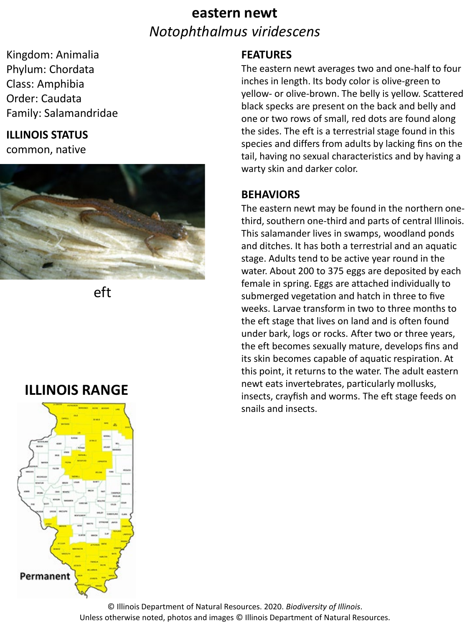# **eastern newt** *Notophthalmus viridescens*

Kingdom: Animalia Phylum: Chordata Class: Amphibia Order: Caudata Family: Salamandridae

### **ILLINOIS STATUS**

common, native



eft

### **ILLINOIS RANGE**



#### **FEATURES**

The eastern newt averages two and one-half to four inches in length. Its body color is olive-green to yellow- or olive-brown. The belly is yellow. Scattered black specks are present on the back and belly and one or two rows of small, red dots are found along the sides. The eft is a terrestrial stage found in this species and differs from adults by lacking fins on the tail, having no sexual characteristics and by having a warty skin and darker color.

#### **BEHAVIORS**

The eastern newt may be found in the northern onethird, southern one-third and parts of central Illinois. This salamander lives in swamps, woodland ponds and ditches. It has both a terrestrial and an aquatic stage. Adults tend to be active year round in the water. About 200 to 375 eggs are deposited by each female in spring. Eggs are attached individually to submerged vegetation and hatch in three to five weeks. Larvae transform in two to three months to the eft stage that lives on land and is often found under bark, logs or rocks. After two or three years, the eft becomes sexually mature, develops fins and its skin becomes capable of aquatic respiration. At this point, it returns to the water. The adult eastern newt eats invertebrates, particularly mollusks, insects, crayfish and worms. The eft stage feeds on snails and insects.

© Illinois Department of Natural Resources. 2020. *Biodiversity of Illinois*. Unless otherwise noted, photos and images © Illinois Department of Natural Resources.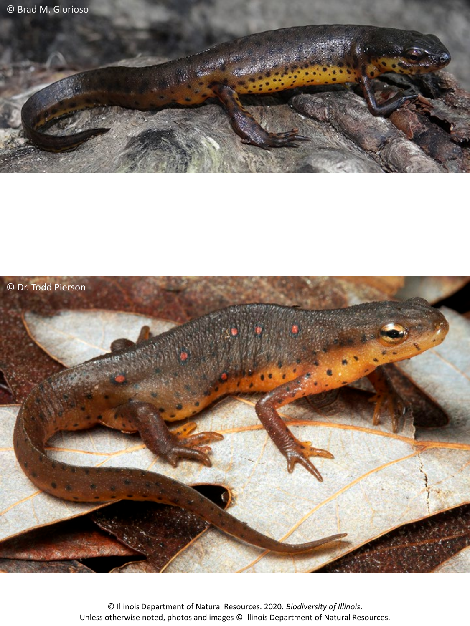



© Illinois Department of Natural Resources. 2020. *Biodiversity of Illinois*. Unless otherwise noted, photos and images © Illinois Department of Natural Resources.